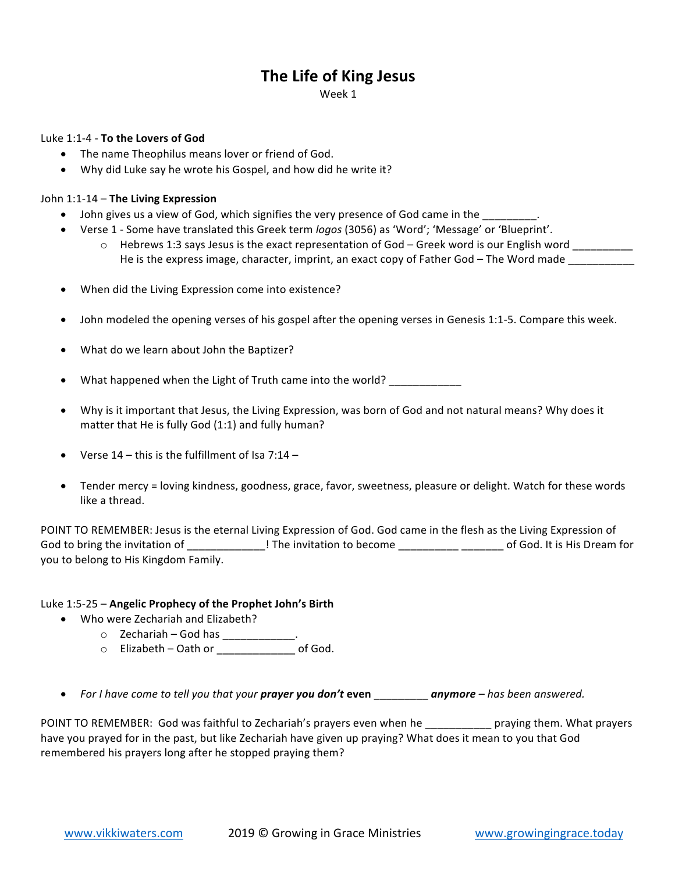# **The Life of King Jesus**

Week 1

#### Luke 1:1-4 - **To the Lovers of God**

- The name Theophilus means lover or friend of God.
- Why did Luke say he wrote his Gospel, and how did he write it?

## John 1:1-14 - The Living Expression

- John gives us a view of God, which signifies the very presence of God came in the  $\overline{a}$ .
- Verse 1 Some have translated this Greek term *logos* (3056) as 'Word'; 'Message' or 'Blueprint'.
	- o Hebrews 1:3 says Jesus is the exact representation of God Greek word is our English word \_\_\_\_\_\_\_\_\_ He is the express image, character, imprint, an exact copy of Father God – The Word made \_\_\_\_\_\_\_\_\_\_
- When did the Living Expression come into existence?
- John modeled the opening verses of his gospel after the opening verses in Genesis 1:1-5. Compare this week.
- What do we learn about John the Baptizer?

What happened when the Light of Truth came into the world?

- Why is it important that Jesus, the Living Expression, was born of God and not natural means? Why does it matter that He is fully God  $(1:1)$  and fully human?
- Verse  $14$  this is the fulfillment of Isa 7:14 –
- Tender mercy = loving kindness, goodness, grace, favor, sweetness, pleasure or delight. Watch for these words like a thread.

POINT TO REMEMBER: Jesus is the eternal Living Expression of God. God came in the flesh as the Living Expression of God to bring the invitation of \_\_\_\_\_\_\_\_\_\_\_\_\_! The invitation to become \_\_\_\_\_\_\_\_\_\_\_\_\_\_\_\_\_\_\_\_\_ of God. It is His Dream for you to belong to His Kingdom Family.

## Luke 1:5-25 – **Angelic Prophecy of the Prophet John's Birth**

- Who were Zechariah and Elizabeth?
	- $\circ$  Zechariah God has \_\_\_\_\_\_\_\_\_
		- o Elizabeth – Oath or \_\_\_\_\_\_\_\_\_\_\_\_\_ of God.
- For I have come to tell you that your **prayer you don't even** \_\_\_\_\_\_\_\_\_ **anymore** has been answered.

POINT TO REMEMBER: God was faithful to Zechariah's prayers even when he \_\_\_\_\_\_\_\_\_\_\_\_ praying them. What prayers have you prayed for in the past, but like Zechariah have given up praying? What does it mean to you that God remembered his prayers long after he stopped praying them?